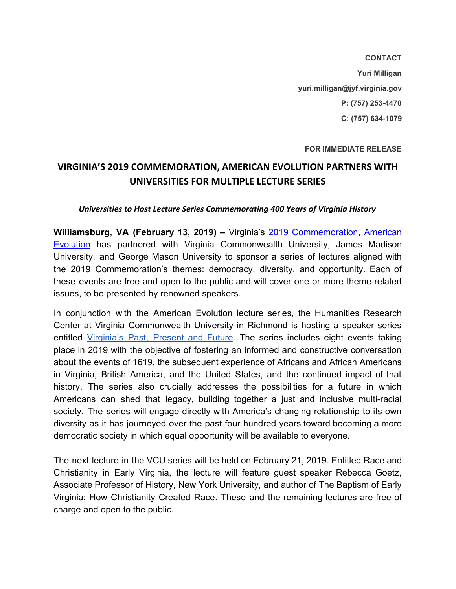**CONTACT Yuri Milligan yuri.milligan@jyf.virginia.gov P: (757) 253-4470 C: (757) 634-1079**

**FOR IMMEDIATE RELEASE**

## **VIRGINIA'S 2019 COMMEMORATION, AMERICAN EVOLUTION PARTNERS WITH UNIVERSITIES FOR MULTIPLE LECTURE SERIES**

## *Universities to Host Lecture Series Commemorating 400 Years of Virginia History*

**Williamsburg, VA (February 13, 2019) –** Virginia's 2019 [Commemoration,](https://www.americanevolution2019.com/) American [Evolution](https://www.americanevolution2019.com/) has partnered with Virginia Commonwealth University, James Madison University, and George Mason University to sponsor a series of lectures aligned with the 2019 Commemoration's themes: democracy, diversity, and opportunity. Each of these events are free and open to the public and will cover one or more theme-related issues, to be presented by renowned speakers.

In conjunction with the American Evolution lecture series, the Humanities Research Center at Virginia Commonwealth University in Richmond is hosting a speaker series entitled [Virginia's](https://www.americanevolution2019.com/event/partner-program-virginias-past-present-and-future-speaker-series/) Past, Present and Future. The series includes eight events taking place in 2019 with the objective of fostering an informed and constructive conversation about the events of 1619, the subsequent experience of Africans and African Americans in Virginia, British America, and the United States, and the continued impact of that history. The series also crucially addresses the possibilities for a future in which Americans can shed that legacy, building together a just and inclusive multi-racial society. The series will engage directly with America's changing relationship to its own diversity as it has journeyed over the past four hundred years toward becoming a more democratic society in which equal opportunity will be available to everyone.

The next lecture in the VCU series will be held on February 21, 2019. Entitled Race and Christianity in Early Virginia, the lecture will feature guest speaker Rebecca Goetz, Associate Professor of History, New York University, and author of The Baptism of Early Virginia: How Christianity Created Race. These and the remaining lectures are free of charge and open to the public.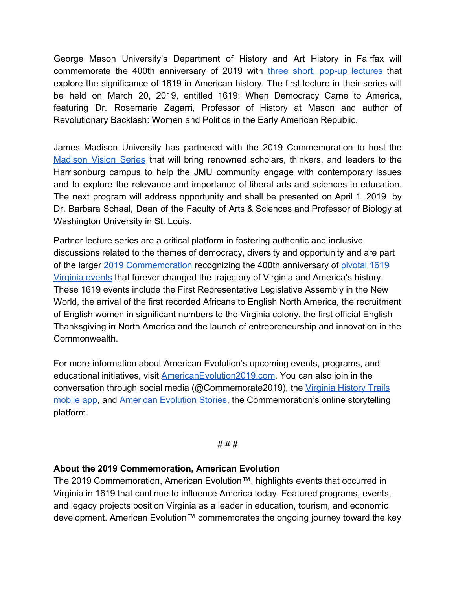George Mason University's Department of History and Art History in Fairfax will commemorate the 400th anniversary of 2019 with three short, pop-up [lectures](https://www.americanevolution2019.com/event/partner-program-flash-lectures-with-george-mason-universitys-department-of-history-and-art-history/) that explore the significance of 1619 in American history. The first lecture in their series will be held on March 20, 2019, entitled 1619: When Democracy Came to America, featuring Dr. Rosemarie Zagarri, Professor of History at Mason and author of Revolutionary Backlash: Women and Politics in the Early American Republic.

James Madison University has partnered with the 2019 Commemoration to host the [Madison](https://www.americanevolution2019.com/event/partner-program-madison-vision-series/) Vision Series that will bring renowned scholars, thinkers, and leaders to the Harrisonburg campus to help the JMU community engage with contemporary issues and to explore the relevance and importance of liberal arts and sciences to education. The next program will address opportunity and shall be presented on April 1, 2019 by Dr. Barbara Schaal, Dean of the Faculty of Arts & Sciences and Professor of Biology at Washington University in St. Louis.

Partner lecture series are a critical platform in fostering authentic and inclusive discussions related to the themes of democracy, diversity and opportunity and are part of the larger [2019 Commemoration](https://www.americanevolution2019.com/) recognizing the 400th anniversary of [pivotal 1619](https://www.americanevolution2019.com/about/history/) [Virginia events](https://www.americanevolution2019.com/about/history/) that forever changed the trajectory of Virginia and America's history. These 1619 events include the First Representative Legislative Assembly in the New World, the arrival of the first recorded Africans to English North America, the recruitment of English women in significant numbers to the Virginia colony, the first official English Thanksgiving in North America and the launch of entrepreneurship and innovation in the Commonwealth.

For more information about American Evolution's upcoming events, programs, and educational initiatives, visit **AmericanEvolution2019.com**. You can also join in the conversation through social media (@Commemorate2019), the [Virginia History Trails](https://www.americanevolution2019.com/engage/va-history-trails/) [mobile app](https://www.americanevolution2019.com/engage/va-history-trails/), and [American Evolution Stories](https://www.americanevolution2019.com/engage/ae-stories-2/), the Commemoration's online storytelling platform.

## # # #

## **About the 2019 Commemoration, American Evolution**

The 2019 Commemoration, American Evolution™, highlights events that occurred in Virginia in 1619 that continue to influence America today. Featured programs, events, and legacy projects position Virginia as a leader in education, tourism, and economic development. American Evolution™ commemorates the ongoing journey toward the key